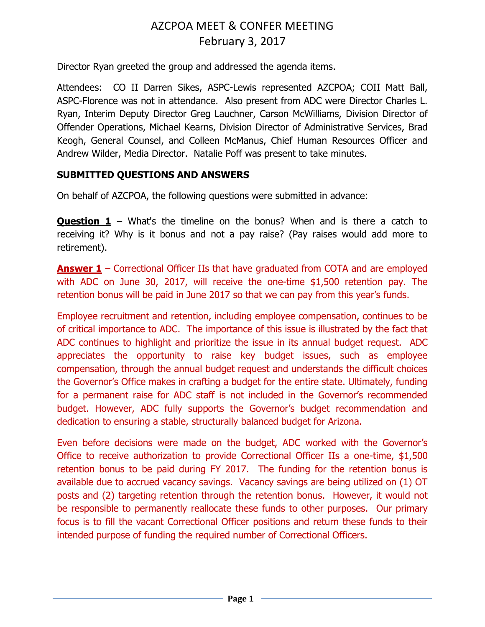Director Ryan greeted the group and addressed the agenda items.

Attendees: CO II Darren Sikes, ASPC-Lewis represented AZCPOA; COII Matt Ball, ASPC-Florence was not in attendance. Also present from ADC were Director Charles L. Ryan, Interim Deputy Director Greg Lauchner, Carson McWilliams, Division Director of Offender Operations, Michael Kearns, Division Director of Administrative Services, Brad Keogh, General Counsel, and Colleen McManus, Chief Human Resources Officer and Andrew Wilder, Media Director. Natalie Poff was present to take minutes.

## **SUBMITTED QUESTIONS AND ANSWERS**

On behalf of AZCPOA, the following questions were submitted in advance:

**Question 1** – What's the timeline on the bonus? When and is there a catch to receiving it? Why is it bonus and not a pay raise? (Pay raises would add more to retirement).

**Answer 1** – Correctional Officer IIs that have graduated from COTA and are employed with ADC on June 30, 2017, will receive the one-time \$1,500 retention pay. The retention bonus will be paid in June 2017 so that we can pay from this year's funds.

Employee recruitment and retention, including employee compensation, continues to be of critical importance to ADC. The importance of this issue is illustrated by the fact that ADC continues to highlight and prioritize the issue in its annual budget request. ADC appreciates the opportunity to raise key budget issues, such as employee compensation, through the annual budget request and understands the difficult choices the Governor's Office makes in crafting a budget for the entire state. Ultimately, funding for a permanent raise for ADC staff is not included in the Governor's recommended budget. However, ADC fully supports the Governor's budget recommendation and dedication to ensuring a stable, structurally balanced budget for Arizona.

Even before decisions were made on the budget, ADC worked with the Governor's Office to receive authorization to provide Correctional Officer IIs a one-time, \$1,500 retention bonus to be paid during FY 2017. The funding for the retention bonus is available due to accrued vacancy savings. Vacancy savings are being utilized on (1) OT posts and (2) targeting retention through the retention bonus. However, it would not be responsible to permanently reallocate these funds to other purposes. Our primary focus is to fill the vacant Correctional Officer positions and return these funds to their intended purpose of funding the required number of Correctional Officers.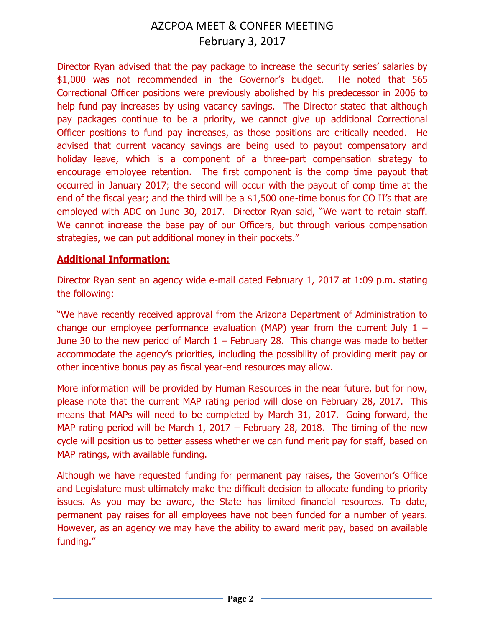Director Ryan advised that the pay package to increase the security series' salaries by \$1,000 was not recommended in the Governor's budget. He noted that 565 Correctional Officer positions were previously abolished by his predecessor in 2006 to help fund pay increases by using vacancy savings. The Director stated that although pay packages continue to be a priority, we cannot give up additional Correctional Officer positions to fund pay increases, as those positions are critically needed. He advised that current vacancy savings are being used to payout compensatory and holiday leave, which is a component of a three-part compensation strategy to encourage employee retention. The first component is the comp time payout that occurred in January 2017; the second will occur with the payout of comp time at the end of the fiscal year; and the third will be a \$1,500 one-time bonus for CO II's that are employed with ADC on June 30, 2017. Director Ryan said, "We want to retain staff. We cannot increase the base pay of our Officers, but through various compensation strategies, we can put additional money in their pockets."

## **Additional Information:**

Director Ryan sent an agency wide e-mail dated February 1, 2017 at 1:09 p.m. stating the following:

"We have recently received approval from the Arizona Department of Administration to change our employee performance evaluation (MAP) year from the current July  $1 -$ June 30 to the new period of March  $1$  – February 28. This change was made to better accommodate the agency's priorities, including the possibility of providing merit pay or other incentive bonus pay as fiscal year-end resources may allow.

More information will be provided by Human Resources in the near future, but for now, please note that the current MAP rating period will close on February 28, 2017. This means that MAPs will need to be completed by March 31, 2017. Going forward, the MAP rating period will be March 1, 2017 – February 28, 2018. The timing of the new cycle will position us to better assess whether we can fund merit pay for staff, based on MAP ratings, with available funding.

Although we have requested funding for permanent pay raises, the Governor's Office and Legislature must ultimately make the difficult decision to allocate funding to priority issues. As you may be aware, the State has limited financial resources. To date, permanent pay raises for all employees have not been funded for a number of years. However, as an agency we may have the ability to award merit pay, based on available funding."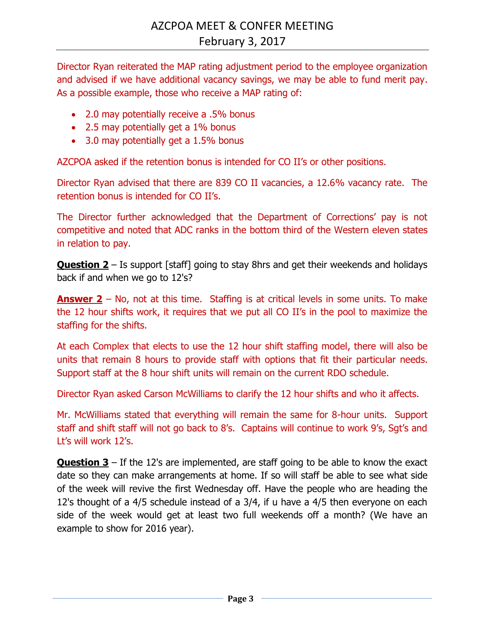Director Ryan reiterated the MAP rating adjustment period to the employee organization and advised if we have additional vacancy savings, we may be able to fund merit pay. As a possible example, those who receive a MAP rating of:

- 2.0 may potentially receive a .5% bonus
- 2.5 may potentially get a 1% bonus
- 3.0 may potentially get a 1.5% bonus

AZCPOA asked if the retention bonus is intended for CO II's or other positions.

Director Ryan advised that there are 839 CO II vacancies, a 12.6% vacancy rate. The retention bonus is intended for CO II's.

The Director further acknowledged that the Department of Corrections' pay is not competitive and noted that ADC ranks in the bottom third of the Western eleven states in relation to pay.

**Question 2** – Is support [staff] going to stay 8hrs and get their weekends and holidays back if and when we go to 12's?

**Answer 2** – No, not at this time. Staffing is at critical levels in some units. To make the 12 hour shifts work, it requires that we put all CO II's in the pool to maximize the staffing for the shifts.

At each Complex that elects to use the 12 hour shift staffing model, there will also be units that remain 8 hours to provide staff with options that fit their particular needs. Support staff at the 8 hour shift units will remain on the current RDO schedule.

Director Ryan asked Carson McWilliams to clarify the 12 hour shifts and who it affects.

Mr. McWilliams stated that everything will remain the same for 8-hour units. Support staff and shift staff will not go back to 8's. Captains will continue to work 9's, Sgt's and Lt's will work 12's.

**Question 3** – If the 12's are implemented, are staff going to be able to know the exact date so they can make arrangements at home. If so will staff be able to see what side of the week will revive the first Wednesday off. Have the people who are heading the 12's thought of a 4/5 schedule instead of a 3/4, if u have a 4/5 then everyone on each side of the week would get at least two full weekends off a month? (We have an example to show for 2016 year).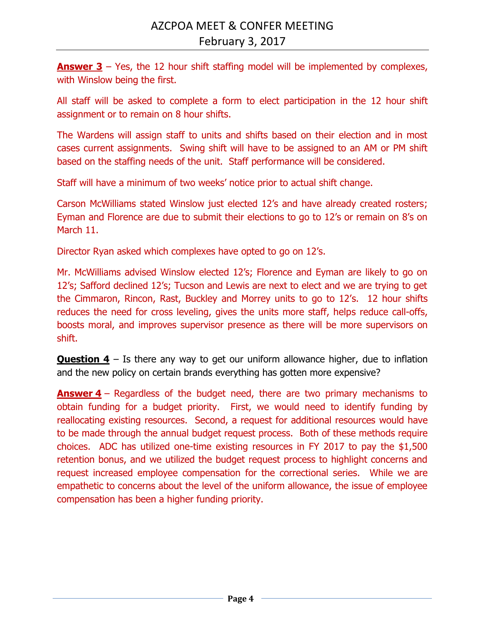**Answer 3** – Yes, the 12 hour shift staffing model will be implemented by complexes, with Winslow being the first.

All staff will be asked to complete a form to elect participation in the 12 hour shift assignment or to remain on 8 hour shifts.

The Wardens will assign staff to units and shifts based on their election and in most cases current assignments. Swing shift will have to be assigned to an AM or PM shift based on the staffing needs of the unit. Staff performance will be considered.

Staff will have a minimum of two weeks' notice prior to actual shift change.

Carson McWilliams stated Winslow just elected 12's and have already created rosters; Eyman and Florence are due to submit their elections to go to 12's or remain on 8's on March 11.

Director Ryan asked which complexes have opted to go on 12's.

Mr. McWilliams advised Winslow elected 12's; Florence and Eyman are likely to go on 12's; Safford declined 12's; Tucson and Lewis are next to elect and we are trying to get the Cimmaron, Rincon, Rast, Buckley and Morrey units to go to 12's. 12 hour shifts reduces the need for cross leveling, gives the units more staff, helps reduce call-offs, boosts moral, and improves supervisor presence as there will be more supervisors on shift.

**Question 4** – Is there any way to get our uniform allowance higher, due to inflation and the new policy on certain brands everything has gotten more expensive?

**Answer 4** – Regardless of the budget need, there are two primary mechanisms to obtain funding for a budget priority. First, we would need to identify funding by reallocating existing resources. Second, a request for additional resources would have to be made through the annual budget request process. Both of these methods require choices. ADC has utilized one-time existing resources in FY 2017 to pay the \$1,500 retention bonus, and we utilized the budget request process to highlight concerns and request increased employee compensation for the correctional series. While we are empathetic to concerns about the level of the uniform allowance, the issue of employee compensation has been a higher funding priority.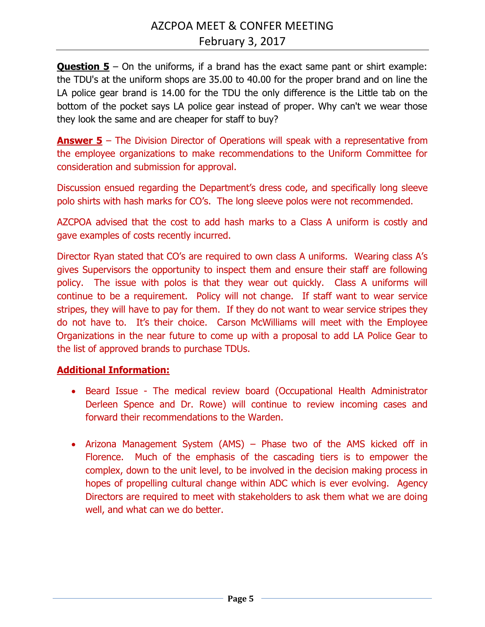**Question 5** – On the uniforms, if a brand has the exact same pant or shirt example: the TDU's at the uniform shops are 35.00 to 40.00 for the proper brand and on line the LA police gear brand is 14.00 for the TDU the only difference is the Little tab on the bottom of the pocket says LA police gear instead of proper. Why can't we wear those they look the same and are cheaper for staff to buy?

**Answer 5** – The Division Director of Operations will speak with a representative from the employee organizations to make recommendations to the Uniform Committee for consideration and submission for approval.

Discussion ensued regarding the Department's dress code, and specifically long sleeve polo shirts with hash marks for CO's. The long sleeve polos were not recommended.

AZCPOA advised that the cost to add hash marks to a Class A uniform is costly and gave examples of costs recently incurred.

Director Ryan stated that CO's are required to own class A uniforms. Wearing class A's gives Supervisors the opportunity to inspect them and ensure their staff are following policy. The issue with polos is that they wear out quickly. Class A uniforms will continue to be a requirement. Policy will not change. If staff want to wear service stripes, they will have to pay for them. If they do not want to wear service stripes they do not have to. It's their choice. Carson McWilliams will meet with the Employee Organizations in the near future to come up with a proposal to add LA Police Gear to the list of approved brands to purchase TDUs.

## **Additional Information:**

- Beard Issue The medical review board (Occupational Health Administrator Derleen Spence and Dr. Rowe) will continue to review incoming cases and forward their recommendations to the Warden.
- Arizona Management System (AMS) Phase two of the AMS kicked off in Florence. Much of the emphasis of the cascading tiers is to empower the complex, down to the unit level, to be involved in the decision making process in hopes of propelling cultural change within ADC which is ever evolving. Agency Directors are required to meet with stakeholders to ask them what we are doing well, and what can we do better.